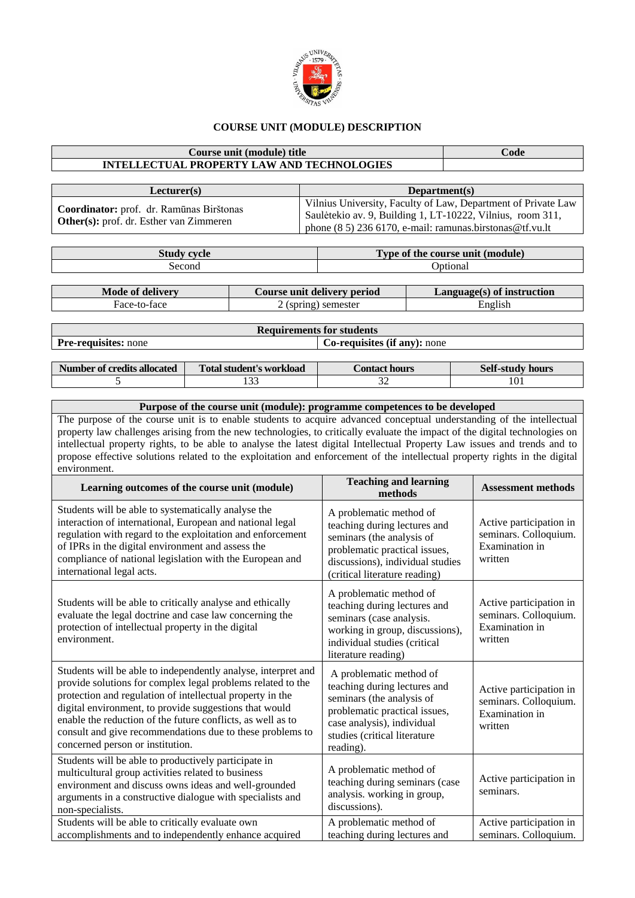

## **COURSE UNIT (MODULE) DESCRIPTION**

## **Course unit (module) title Code INTELLECTUAL PROPERTY LAW AND TECHNOLOGIES**

| Lecturer(s)                                                                                | Department(s)                                                                                                                                                                              |
|--------------------------------------------------------------------------------------------|--------------------------------------------------------------------------------------------------------------------------------------------------------------------------------------------|
| Coordinator: prof. dr. Ramūnas Birštonas<br><b>Other(s):</b> prof. dr. Esther van Zimmeren | Vilnius University, Faculty of Law, Department of Private Law<br>Saulėtekio av. 9, Building 1, LT-10222, Vilnius, room 311,<br>phone $(8\ 5)$ 236 6170, e-mail: ramunas.birstonas@tf.vu.lt |

| <b>Study cycle</b> | Type of the course unit (module) |                            |  |
|--------------------|----------------------------------|----------------------------|--|
| Second             | <b>Optional</b>                  |                            |  |
|                    |                                  |                            |  |
| Mode of delivery   | Course unit delivery period      | Language(s) of instruction |  |

| <b>IVIUUC UL UCHVELV</b> | Course unit genvery period | Languagus) of msu ucuon |
|--------------------------|----------------------------|-------------------------|
| Hace-to-face             | (spring) semester          | English                 |
|                          |                            |                         |

**Requirements for students Pre-requisites:** none **Co-requisites (if any):** none

| Number of credits allocated | Total student's workload | Contact hours | <b>Self-study hours</b> |
|-----------------------------|--------------------------|---------------|-------------------------|
|                             | $\sim$<br>.              |               | 101                     |

## **Purpose of the course unit (module): programme competences to be developed**

The purpose of the course unit is to enable students to acquire advanced conceptual understanding of the intellectual property law challenges arising from the new technologies, to critically evaluate the impact of the digital technologies on intellectual property rights, to be able to analyse the latest digital Intellectual Property Law issues and trends and to propose effective solutions related to the exploitation and enforcement of the intellectual property rights in the digital environment.

| Learning outcomes of the course unit (module)                                                                                                                                                                                                                                                                                                                                                                       | <b>Teaching and learning</b><br>methods                                                                                                                                                          | <b>Assessment methods</b>                                                            |
|---------------------------------------------------------------------------------------------------------------------------------------------------------------------------------------------------------------------------------------------------------------------------------------------------------------------------------------------------------------------------------------------------------------------|--------------------------------------------------------------------------------------------------------------------------------------------------------------------------------------------------|--------------------------------------------------------------------------------------|
| Students will be able to systematically analyse the<br>interaction of international, European and national legal<br>regulation with regard to the exploitation and enforcement<br>of IPRs in the digital environment and assess the<br>compliance of national legislation with the European and<br>international legal acts.                                                                                        | A problematic method of<br>teaching during lectures and<br>seminars (the analysis of<br>problematic practical issues,<br>discussions), individual studies<br>(critical literature reading)       | Active participation in<br>seminars. Colloquium.<br>Examination in<br>written        |
| Students will be able to critically analyse and ethically<br>evaluate the legal doctrine and case law concerning the<br>protection of intellectual property in the digital<br>environment.                                                                                                                                                                                                                          | A problematic method of<br>teaching during lectures and<br>seminars (case analysis.<br>working in group, discussions),<br>individual studies (critical<br>literature reading)                    | Active participation in<br>seminars. Colloquium.<br>Examination in<br>written        |
| Students will be able to independently analyse, interpret and<br>provide solutions for complex legal problems related to the<br>protection and regulation of intellectual property in the<br>digital environment, to provide suggestions that would<br>enable the reduction of the future conflicts, as well as to<br>consult and give recommendations due to these problems to<br>concerned person or institution. | A problematic method of<br>teaching during lectures and<br>seminars (the analysis of<br>problematic practical issues,<br>case analysis), individual<br>studies (critical literature<br>reading). | Active participation in<br>seminars. Colloquium.<br><b>Examination</b> in<br>written |
| Students will be able to productively participate in<br>multicultural group activities related to business<br>environment and discuss owns ideas and well-grounded<br>arguments in a constructive dialogue with specialists and<br>non-specialists.                                                                                                                                                                 | A problematic method of<br>teaching during seminars (case<br>analysis. working in group,<br>discussions).                                                                                        | Active participation in<br>seminars.                                                 |
| Students will be able to critically evaluate own<br>accomplishments and to independently enhance acquired                                                                                                                                                                                                                                                                                                           | A problematic method of<br>teaching during lectures and                                                                                                                                          | Active participation in<br>seminars. Colloquium.                                     |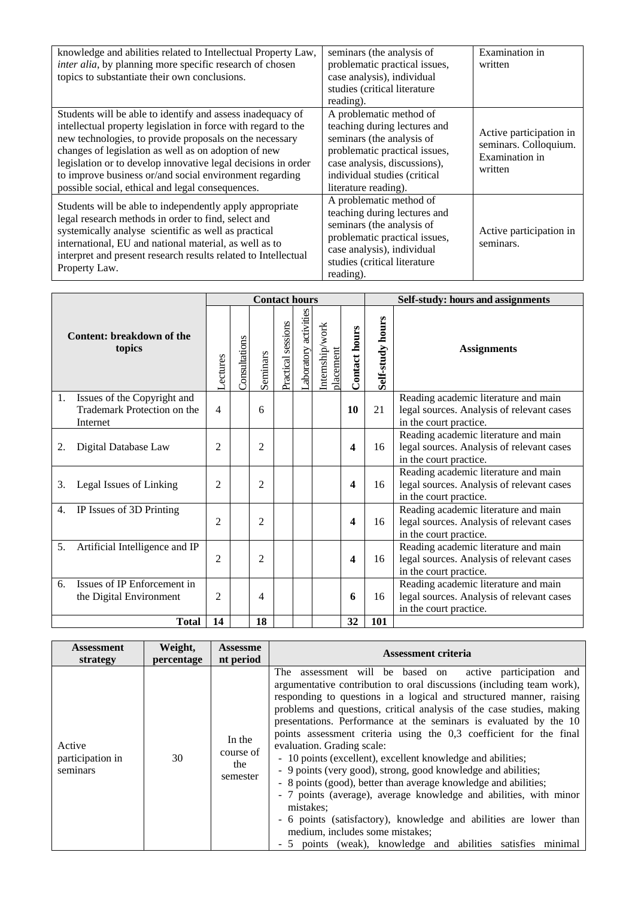| knowledge and abilities related to Intellectual Property Law,<br><i>inter alia</i> , by planning more specific research of chosen<br>topics to substantiate their own conclusions.                                                                                                                                                                                                                                             | seminars (the analysis of<br>problematic practical issues,<br>case analysis), individual<br>studies (critical literature<br>reading).                                                                         | Examination in<br>written                                                     |
|--------------------------------------------------------------------------------------------------------------------------------------------------------------------------------------------------------------------------------------------------------------------------------------------------------------------------------------------------------------------------------------------------------------------------------|---------------------------------------------------------------------------------------------------------------------------------------------------------------------------------------------------------------|-------------------------------------------------------------------------------|
| Students will be able to identify and assess inadequacy of<br>intellectual property legislation in force with regard to the<br>new technologies, to provide proposals on the necessary<br>changes of legislation as well as on adoption of new<br>legislation or to develop innovative legal decisions in order<br>to improve business or/and social environment regarding<br>possible social, ethical and legal consequences. | A problematic method of<br>teaching during lectures and<br>seminars (the analysis of<br>problematic practical issues,<br>case analysis, discussions),<br>individual studies (critical<br>literature reading). | Active participation in<br>seminars. Colloquium.<br>Examination in<br>written |
| Students will be able to independently apply appropriate<br>legal research methods in order to find, select and<br>systemically analyse scientific as well as practical<br>international, EU and national material, as well as to<br>interpret and present research results related to Intellectual<br>Property Law.                                                                                                           | A problematic method of<br>teaching during lectures and<br>seminars (the analysis of<br>problematic practical issues,<br>case analysis), individual<br>studies (critical literature<br>reading).              | Active participation in<br>seminars.                                          |

|                                                                              |                 |               | <b>Contact hours</b> |                    |                       |                              |                      | Self-study: hours and assignments |                                                                                                             |  |
|------------------------------------------------------------------------------|-----------------|---------------|----------------------|--------------------|-----------------------|------------------------------|----------------------|-----------------------------------|-------------------------------------------------------------------------------------------------------------|--|
| Content: breakdown of the<br>topics                                          | <b>Acctures</b> | Consultations | Seminars             | Practical sessions | Laboratory activities | Internship/work<br>placement | <b>Contact hours</b> | Self-study hours                  | <b>Assignments</b>                                                                                          |  |
| Issues of the Copyright and<br>1.<br>Trademark Protection on the<br>Internet | 4               |               | 6                    |                    |                       |                              | 10                   | 21                                | Reading academic literature and main<br>legal sources. Analysis of relevant cases<br>in the court practice. |  |
| Digital Database Law<br>2.                                                   | $\overline{c}$  |               | $\overline{2}$       |                    |                       |                              | $\boldsymbol{4}$     | 16                                | Reading academic literature and main<br>legal sources. Analysis of relevant cases<br>in the court practice. |  |
| Legal Issues of Linking<br>3.                                                | $\overline{c}$  |               | $\overline{2}$       |                    |                       |                              | 4                    | 16                                | Reading academic literature and main<br>legal sources. Analysis of relevant cases<br>in the court practice. |  |
| IP Issues of 3D Printing<br>4.                                               | $\overline{c}$  |               | $\overline{c}$       |                    |                       |                              | 4                    | 16                                | Reading academic literature and main<br>legal sources. Analysis of relevant cases<br>in the court practice. |  |
| 5.<br>Artificial Intelligence and IP                                         | $\overline{c}$  |               | $\overline{c}$       |                    |                       |                              | $\boldsymbol{4}$     | 16                                | Reading academic literature and main<br>legal sources. Analysis of relevant cases<br>in the court practice. |  |
| Issues of IP Enforcement in<br>6.<br>the Digital Environment                 | $\mathfrak{D}$  |               | 4                    |                    |                       |                              | 6                    | 16                                | Reading academic literature and main<br>legal sources. Analysis of relevant cases<br>in the court practice. |  |
| <b>Total</b>                                                                 | 14              |               | 18                   |                    |                       |                              | 32                   | 101                               |                                                                                                             |  |

| Assessment                             | Weight,    | <b>Assessme</b>                        | <b>Assessment criteria</b>                                                                                                                                                                                                                                                                                                                                                                                                                                                                                                                                                                                                                                                                                                                                                                                                                                                                                                 |
|----------------------------------------|------------|----------------------------------------|----------------------------------------------------------------------------------------------------------------------------------------------------------------------------------------------------------------------------------------------------------------------------------------------------------------------------------------------------------------------------------------------------------------------------------------------------------------------------------------------------------------------------------------------------------------------------------------------------------------------------------------------------------------------------------------------------------------------------------------------------------------------------------------------------------------------------------------------------------------------------------------------------------------------------|
| strategy                               | percentage | nt period                              |                                                                                                                                                                                                                                                                                                                                                                                                                                                                                                                                                                                                                                                                                                                                                                                                                                                                                                                            |
| Active<br>participation in<br>seminars | 30         | In the<br>course of<br>the<br>semester | assessment will be based on active participation and<br>The<br>argumentative contribution to oral discussions (including team work),<br>responding to questions in a logical and structured manner, raising<br>problems and questions, critical analysis of the case studies, making<br>presentations. Performance at the seminars is evaluated by the 10<br>points assessment criteria using the 0,3 coefficient for the final<br>evaluation. Grading scale:<br>- 10 points (excellent), excellent knowledge and abilities;<br>- 9 points (very good), strong, good knowledge and abilities;<br>- 8 points (good), better than average knowledge and abilities;<br>- 7 points (average), average knowledge and abilities, with minor<br>mistakes;<br>- 6 points (satisfactory), knowledge and abilities are lower than<br>medium, includes some mistakes;<br>- 5 points (weak), knowledge and abilities satisfies minimal |